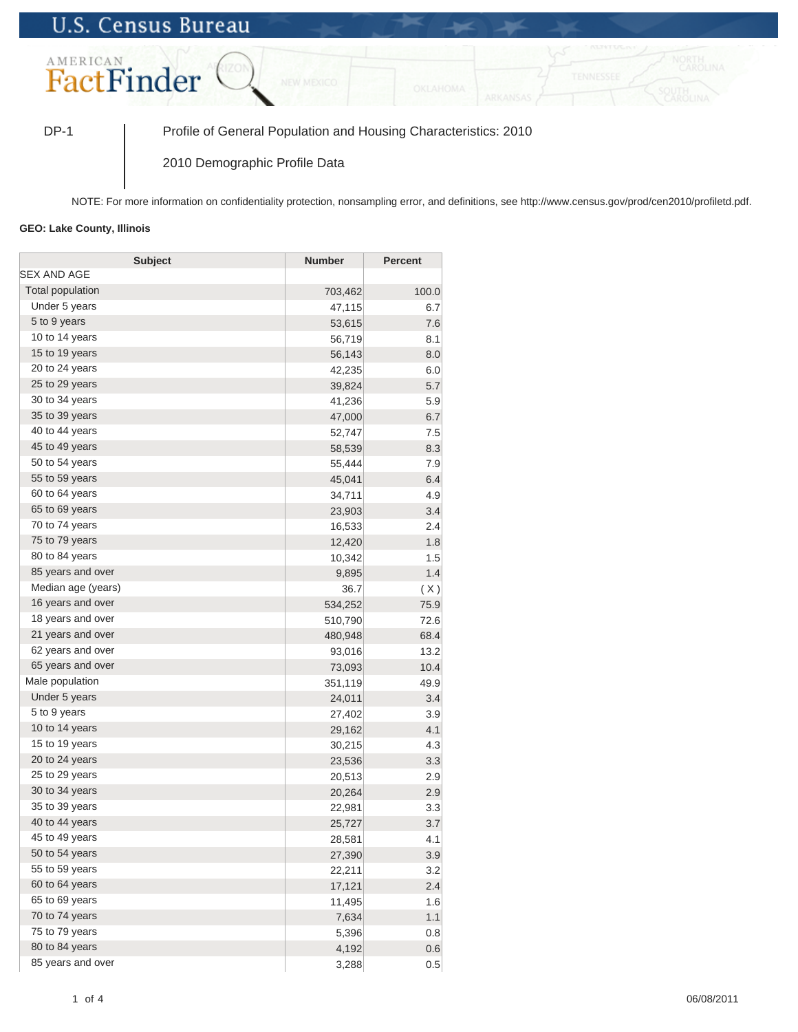## **U.S. Census Bureau**



DP-1 Profile of General Population and Housing Characteristics: 2010

2010 Demographic Profile Data

NOTE: For more information on confidentiality protection, nonsampling error, and definitions, see http://www.census.gov/prod/cen2010/profiletd.pdf.

## **GEO: Lake County, Illinois**

| <b>Subject</b>     | <b>Number</b> | <b>Percent</b> |
|--------------------|---------------|----------------|
| <b>SEX AND AGE</b> |               |                |
| Total population   | 703,462       | 100.0          |
| Under 5 years      | 47,115        | 6.7            |
| 5 to 9 years       | 53,615        | 7.6            |
| 10 to 14 years     | 56,719        | 8.1            |
| 15 to 19 years     | 56,143        | 8.0            |
| 20 to 24 years     | 42,235        | 6.0            |
| 25 to 29 years     | 39,824        | 5.7            |
| 30 to 34 years     | 41,236        | 5.9            |
| 35 to 39 years     | 47,000        | 6.7            |
| 40 to 44 years     | 52,747        | 7.5            |
| 45 to 49 years     | 58,539        | 8.3            |
| 50 to 54 years     | 55,444        | 7.9            |
| 55 to 59 years     | 45,041        | 6.4            |
| 60 to 64 years     | 34,711        | 4.9            |
| 65 to 69 years     | 23,903        | 3.4            |
| 70 to 74 years     | 16,533        | 2.4            |
| 75 to 79 years     | 12,420        | 1.8            |
| 80 to 84 years     | 10,342        | 1.5            |
| 85 years and over  | 9,895         | 1.4            |
| Median age (years) | 36.7          | (X)            |
| 16 years and over  | 534,252       | 75.9           |
| 18 years and over  | 510,790       | 72.6           |
| 21 years and over  | 480,948       | 68.4           |
| 62 years and over  | 93,016        | 13.2           |
| 65 years and over  | 73,093        | 10.4           |
| Male population    | 351,119       | 49.9           |
| Under 5 years      | 24,011        | 3.4            |
| 5 to 9 years       | 27,402        | 3.9            |
| 10 to 14 years     | 29,162        | 4.1            |
| 15 to 19 years     | 30,215        | 4.3            |
| 20 to 24 years     | 23,536        | 3.3            |
| 25 to 29 years     | 20,513        | 2.9            |
| 30 to 34 years     | 20,264        | 2.9            |
| 35 to 39 years     | 22,981        | 3.3            |
| 40 to 44 years     | 25,727        | 3.7            |
| 45 to 49 years     | 28,581        | 4.1            |
| 50 to 54 years     | 27,390        | 3.9            |
| 55 to 59 years     | 22,211        | 3.2            |
| 60 to 64 years     | 17,121        | 2.4            |
| 65 to 69 years     | 11,495        | 1.6            |
| 70 to 74 years     | 7,634         | 1.1            |
| 75 to 79 years     | 5,396         | 0.8            |
| 80 to 84 years     | 4,192         | 0.6            |
| 85 years and over  | 3,288         | 0.5            |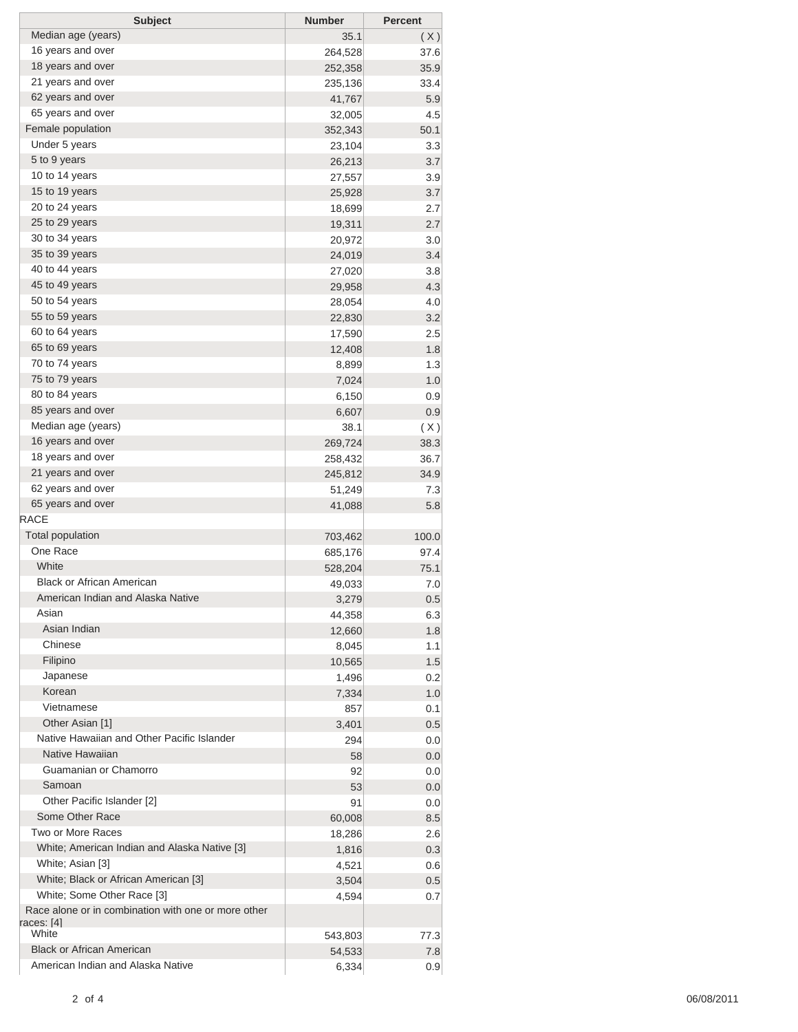| <b>Subject</b>                                      | <b>Number</b> | <b>Percent</b> |
|-----------------------------------------------------|---------------|----------------|
| Median age (years)                                  | 35.1          | (X)            |
| 16 years and over                                   | 264,528       | 37.6           |
| 18 years and over                                   | 252,358       | 35.9           |
| 21 years and over                                   | 235,136       | 33.4           |
| 62 years and over                                   | 41,767        | 5.9            |
| 65 years and over                                   | 32,005        | 4.5            |
| Female population                                   | 352,343       | 50.1           |
| Under 5 years                                       | 23,104        | 3.3            |
| 5 to 9 years                                        | 26,213        | 3.7            |
| 10 to 14 years                                      | 27,557        | 3.9            |
| 15 to 19 years                                      | 25,928        | 3.7            |
| 20 to 24 years                                      | 18,699        | 2.7            |
| 25 to 29 years                                      | 19,311        | 2.7            |
| 30 to 34 years                                      | 20,972        | 3.0            |
| 35 to 39 years                                      | 24,019        | 3.4            |
| 40 to 44 years                                      | 27,020        | 3.8            |
| 45 to 49 years                                      | 29,958        | 4.3            |
| 50 to 54 years                                      | 28,054        | 4.0            |
| 55 to 59 years                                      | 22,830        | 3.2            |
| 60 to 64 years                                      | 17,590        | 2.5            |
| 65 to 69 years                                      | 12,408        | 1.8            |
| 70 to 74 years                                      | 8,899         | 1.3            |
| 75 to 79 years                                      | 7,024         | 1.0            |
| 80 to 84 years                                      |               |                |
| 85 years and over                                   | 6,150         | 0.9            |
| Median age (years)                                  | 6,607         | 0.9            |
| 16 years and over                                   | 38.1          | (X)            |
|                                                     | 269,724       | 38.3           |
| 18 years and over                                   | 258,432       | 36.7           |
| 21 years and over                                   | 245,812       | 34.9           |
| 62 years and over                                   | 51,249        | 7.3            |
| 65 years and over                                   | 41,088        | 5.8            |
| <b>RACE</b>                                         |               |                |
| <b>Total population</b>                             | 703,462       | 100.0          |
| One Race                                            | 685,176       | 97.4           |
| White                                               | 528,204       | 75.1           |
| <b>Black or African American</b>                    | 49,033        | 7.0            |
| American Indian and Alaska Native                   | 3,279         | 0.5            |
| Asian                                               | 44,358        | 6.3            |
| Asian Indian                                        | 12,660        | 1.8            |
| Chinese                                             | 8,045         | 1.1            |
| Filipino                                            | 10,565        | 1.5            |
| Japanese                                            | 1,496         | 0.2            |
| Korean                                              | 7,334         | 1.0            |
| Vietnamese                                          | 857           | 0.1            |
| Other Asian [1]                                     | 3,401         | 0.5            |
| Native Hawaiian and Other Pacific Islander          | 294           | 0.0            |
| Native Hawaiian                                     | 58            | 0.0            |
| Guamanian or Chamorro                               | 92            | 0.0            |
| Samoan                                              | 53            | 0.0            |
| Other Pacific Islander [2]                          | 91            | 0.0            |
| Some Other Race                                     | 60,008        | 8.5            |
| Two or More Races                                   | 18,286        | 2.6            |
| White; American Indian and Alaska Native [3]        | 1,816         | 0.3            |
| White; Asian [3]                                    | 4,521         | 0.6            |
| White; Black or African American [3]                | 3,504         | 0.5            |
| White; Some Other Race [3]                          | 4,594         | 0.7            |
| Race alone or in combination with one or more other |               |                |
| races: [4]                                          |               |                |
| White                                               | 543,803       | 77.3           |
| <b>Black or African American</b>                    | 54,533        | 7.8            |
| American Indian and Alaska Native                   | 6,334         | 0.9            |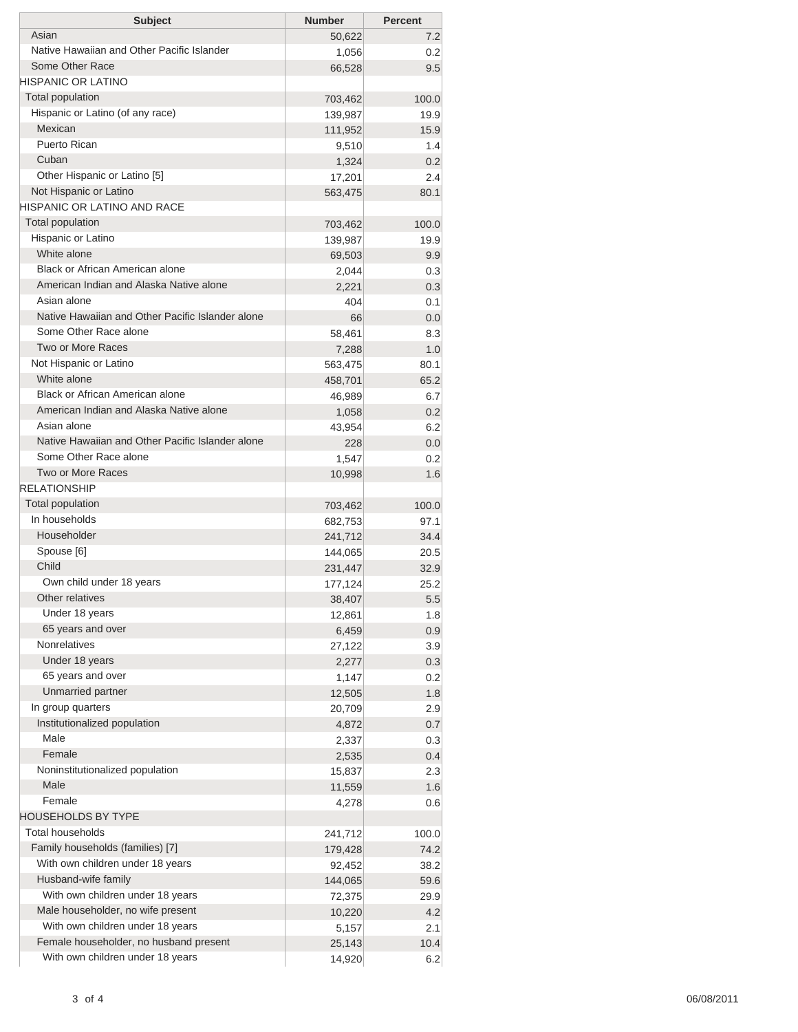| <b>Subject</b>                                   | <b>Number</b> | <b>Percent</b> |
|--------------------------------------------------|---------------|----------------|
| Asian                                            | 50,622        | 7.2            |
| Native Hawaiian and Other Pacific Islander       | 1,056         | 0.2            |
| Some Other Race                                  | 66,528        | 9.5            |
| HISPANIC OR LATINO                               |               |                |
| <b>Total population</b>                          | 703,462       | 100.0          |
| Hispanic or Latino (of any race)                 | 139,987       | 19.9           |
| Mexican                                          | 111,952       | 15.9           |
| Puerto Rican                                     | 9,510         | 1.4            |
| Cuban                                            | 1,324         | 0.2            |
| Other Hispanic or Latino [5]                     | 17,201        | 2.4            |
| Not Hispanic or Latino                           | 563,475       | 80.1           |
| <b>HISPANIC OR LATINO AND RACE</b>               |               |                |
| <b>Total population</b>                          | 703,462       | 100.0          |
| Hispanic or Latino                               | 139,987       | 19.9           |
| White alone                                      | 69,503        | 9.9            |
| Black or African American alone                  | 2,044         | 0.3            |
| American Indian and Alaska Native alone          | 2,221         | 0.3            |
| Asian alone                                      | 404           | 0.1            |
| Native Hawaiian and Other Pacific Islander alone | 66            | 0.0            |
| Some Other Race alone                            | 58,461        | 8.3            |
| Two or More Races                                | 7,288         | 1.0            |
| Not Hispanic or Latino                           | 563,475       | 80.1           |
| White alone                                      | 458,701       | 65.2           |
| Black or African American alone                  | 46,989        | 6.7            |
| American Indian and Alaska Native alone          | 1,058         | 0.2            |
| Asian alone                                      | 43,954        | 6.2            |
| Native Hawaiian and Other Pacific Islander alone | 228           | 0.0            |
| Some Other Race alone                            | 1,547         | 0.2            |
| Two or More Races                                | 10,998        | 1.6            |
| <b>RELATIONSHIP</b>                              |               |                |
| <b>Total population</b>                          | 703,462       | 100.0          |
| In households                                    | 682,753       | 97.1           |
| Householder                                      | 241,712       | 34.4           |
| Spouse [6]                                       | 144,065       | 20.5           |
| Child                                            | 231,447       | 32.9           |
| Own child under 18 years                         | 177,124       | 25.2           |
| Other relatives                                  | 38,407        | 5.5            |
| Under 18 years                                   | 12,861        | 1.8            |
| 65 years and over                                | 6,459         | 0.9            |
| <b>Nonrelatives</b>                              | 27,122        | 3.9            |
| Under 18 years                                   | 2,277         | 0.3            |
| 65 years and over                                | 1,147         | 0.2            |
| Unmarried partner                                | 12,505        | 1.8            |
| In group quarters                                | 20,709        | 2.9            |
| Institutionalized population                     | 4,872         | 0.7            |
| Male                                             | 2,337         | 0.3            |
| Female                                           | 2,535         | 0.4            |
| Noninstitutionalized population                  | 15,837        | 2.3            |
| Male                                             | 11,559        | 1.6            |
| Female                                           | 4,278         | 0.6            |
| <b>HOUSEHOLDS BY TYPE</b>                        |               |                |
| <b>Total households</b>                          | 241,712       | 100.0          |
| Family households (families) [7]                 | 179,428       | 74.2           |
| With own children under 18 years                 | 92,452        | 38.2           |
| Husband-wife family                              | 144,065       | 59.6           |
| With own children under 18 years                 | 72,375        | 29.9           |
| Male householder, no wife present                | 10,220        | 4.2            |
| With own children under 18 years                 | 5,157         | 2.1            |
| Female householder, no husband present           | 25,143        | 10.4           |
| With own children under 18 years                 | 14,920        | 6.2            |